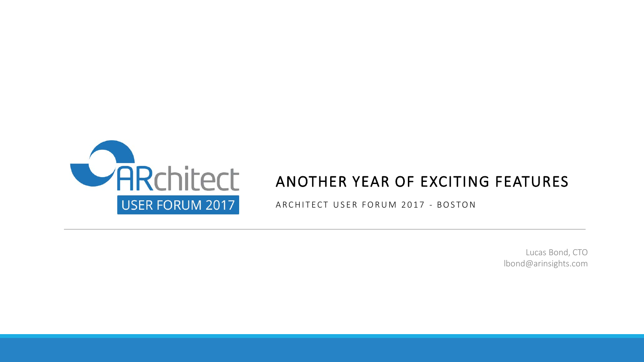

## ANOTHER YEAR OF EXCITING FEATURES

ARCHITECT USER FORUM 2017 - BOSTON

Lucas Bond, CTO lbond@arinsights.com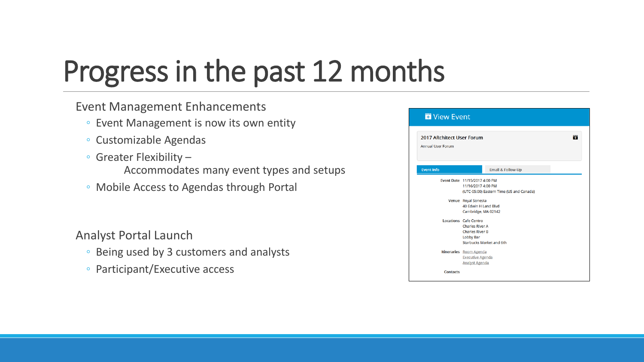# Progress in the past 12 months

### Event Management Enhancements

- Event Management is now its own entity
- Customizable Agendas
- Greater Flexibility
	- Accommodates many event types and setups
- Mobile Access to Agendas through Portal

### Analyst Portal Launch

- Being used by 3 customers and analysts
- Participant/Executive access

| 2017 ARchitect User Forum<br><b>Annual User Forum</b> |                                                                                                                                  |  |  |  |  |  |  |
|-------------------------------------------------------|----------------------------------------------------------------------------------------------------------------------------------|--|--|--|--|--|--|
| <b>Event Info</b>                                     | Email & Follow-Up                                                                                                                |  |  |  |  |  |  |
|                                                       | Event Date 11/15/2017 4:00 PM<br>11/16/2017 4:00 PM<br>(UTC-05:00) Eastern Time (US and Canada)                                  |  |  |  |  |  |  |
|                                                       | Venue Royal Sonesta<br>40 Edwin H Land Blvd<br>Cambridge, MA 02142                                                               |  |  |  |  |  |  |
|                                                       | <b>Locations</b> Cafe Centro<br><b>Charles River A</b><br><b>Charles River B</b><br><b>Lobby Bar</b><br>Starbucks Market and 6th |  |  |  |  |  |  |
|                                                       | Itineraries Room Agenda<br><b>Executive Agenda</b><br><b>Analyst Agenda</b>                                                      |  |  |  |  |  |  |
| <b>Contacts</b>                                       |                                                                                                                                  |  |  |  |  |  |  |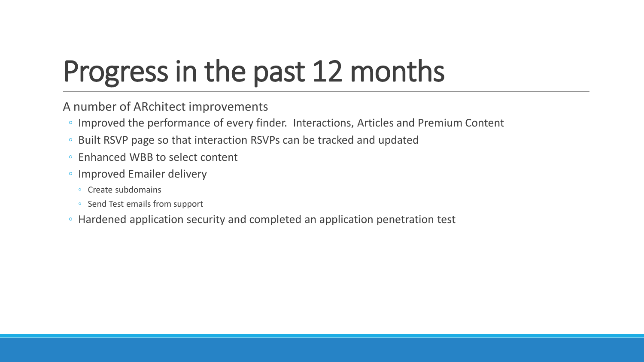# Progress in the past 12 months

A number of ARchitect improvements

- Improved the performance of every finder. Interactions, Articles and Premium Content
- Built RSVP page so that interaction RSVPs can be tracked and updated
- Enhanced WBB to select content
- Improved Emailer delivery
	- Create subdomains
	- Send Test emails from support
- Hardened application security and completed an application penetration test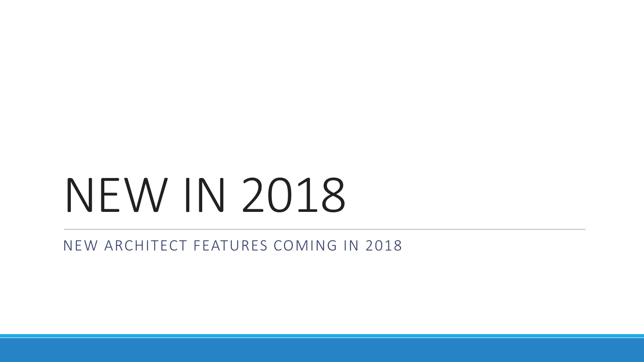# NEW IN 2018

NEW ARCHITECT FEATURES COMING IN 2018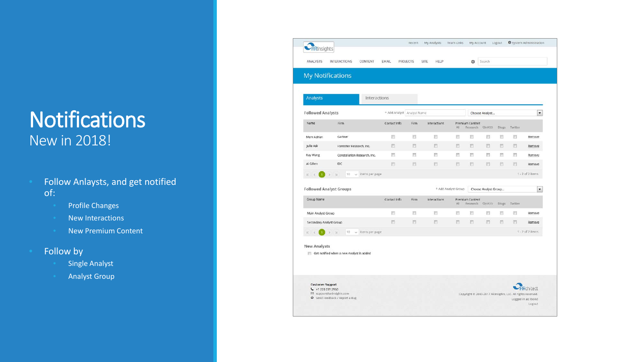# **Notifications** New in 2018!

- Follow Anlaysts, and get notified of:
	- Profile Changes
	- New Interactions
	- New Premium Content
- Follow by
	- **Single Analyst**
	- Analyst Group

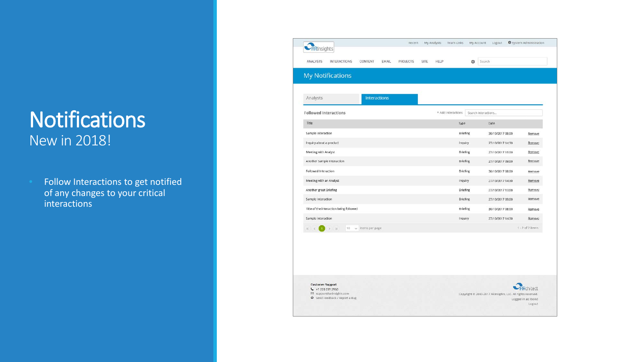## **Notifications** New in 2018!

**• Follow Interactions to get notified** of any changes to your critical interactions

| <b>My Notifications</b>                 |                |  |  |                    |                     |                  |                    |
|-----------------------------------------|----------------|--|--|--------------------|---------------------|------------------|--------------------|
|                                         |                |  |  |                    |                     |                  |                    |
| Analysts                                | Interactions   |  |  |                    |                     |                  |                    |
| <b>Followed Interactions</b>            |                |  |  | + Add Interactions | Search Interactions |                  |                    |
| Title                                   |                |  |  | Type               |                     | Date             |                    |
| Sample Interaction                      |                |  |  | Briefing           |                     | 30/10/2017 08:00 | Remove             |
| Inquiry about a product                 |                |  |  | Inquiry            |                     | 27/10/2017 14:30 | Remove             |
| Meeting with Analyst                    |                |  |  | <b>Briefing</b>    |                     | 27/10/2017 13:00 | Remove             |
| Another Sample Interaction              |                |  |  | <b>Briefing</b>    |                     | 27/10/2017 09:00 | Remove             |
| Followed Interaction                    |                |  |  | <b>Briefing</b>    |                     | 30/10/2017 08:00 | Remove             |
| Meeting with an Analyst                 |                |  |  | Inquiry            |                     | 27/10/2017 14:30 | Remove             |
| Another great Briefing                  |                |  |  | <b>Briefing</b>    |                     | 27/10/2017 13:00 | Remove             |
| Sample Interaction                      |                |  |  | <b>Briefing</b>    |                     | 27/10/2017 09:00 | Remove             |
| Title of the interaction being followed |                |  |  | <b>Briefing</b>    |                     | 30/10/2017 08:00 | Remove             |
| Sample Interaction                      |                |  |  | Inquiry            |                     | 27/10/2017 14:30 | Remove             |
| $10^{-1}$<br>v.                         | items per page |  |  |                    |                     |                  | $1 - 2$ of 2 items |

**Customer Support** € +1 720 231 2950 59 support@arinsights.com Send Feedback / Report a Bug

Rchitect Copyright @ 2000-2017 ARInsights, LLC. All rights reserved. Logged in as: Ibond Logout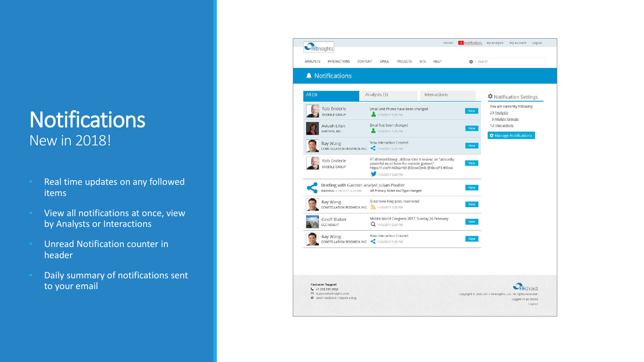# **Notifications** New in 2018!

- Real time updates on any followed items
- View all notifications at once, view by Analysts or Interactions
- Unread Notification counter in header
- **Daily summary of notifications sent** to your email

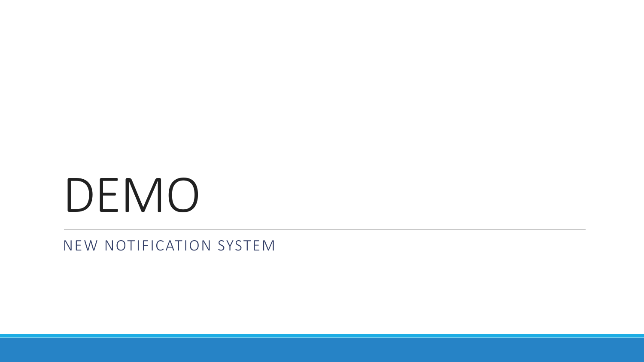# DEMO

NEW NOTIFICATION SYSTEM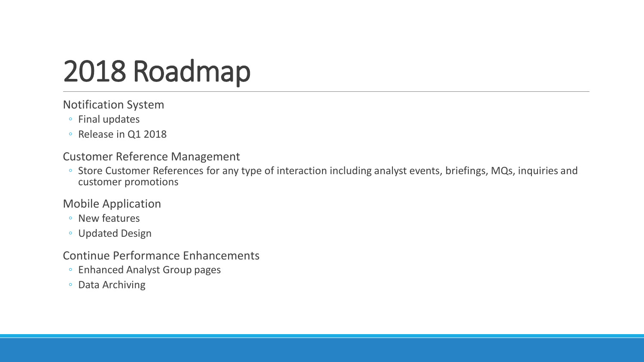# 2018 Roadmap

#### Notification System

- Final updates
- Release in Q1 2018

#### Customer Reference Management

◦ Store Customer References for any type of interaction including analyst events, briefings, MQs, inquiries and customer promotions

### Mobile Application

- New features
- Updated Design

### Continue Performance Enhancements

- Enhanced Analyst Group pages
- Data Archiving